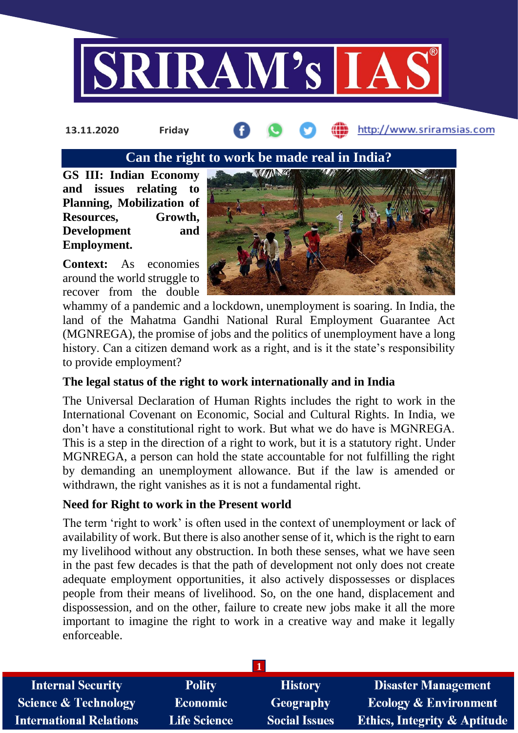

**13.11.2020 Friday**

http://www.sriramsias.com

### **Can the right to work be made real in India?**

**GS III: Indian Economy and issues relating to Planning, Mobilization of Resources, Growth, Development and Employment.**

**Context:** As economies around the world struggle to recover from the double



whammy of a pandemic and a lockdown, unemployment is soaring. In India, the land of the Mahatma Gandhi National Rural Employment Guarantee Act (MGNREGA), the promise of jobs and the politics of unemployment have a long history. Can a citizen demand work as a right, and is it the state's responsibility to provide employment?

# **The legal status of the right to work internationally and in India**

The Universal Declaration of Human Rights includes the right to work in the International Covenant on Economic, Social and Cultural Rights. In India, we don't have a constitutional right to work. But what we do have is MGNREGA. This is a step in the direction of a right to work, but it is a statutory right. Under MGNREGA, a person can hold the state accountable for not fulfilling the right by demanding an unemployment allowance. But if the law is amended or withdrawn, the right vanishes as it is not a fundamental right.

# **Need for Right to work in the Present world**

The term 'right to work' is often used in the context of unemployment or lack of availability of work. But there is also another sense of it, which is the right to earn my livelihood without any obstruction. In both these senses, what we have seen in the past few decades is that the path of development not only does not create adequate employment opportunities, it also actively dispossesses or displaces people from their means of livelihood. So, on the one hand, displacement and dispossession, and on the other, failure to create new jobs make it all the more important to imagine the right to work in a creative way and make it legally enforceable.

| <b>Internal Security</b>        | <b>Polity</b>       | <b>History</b>       | <b>Disaster Management</b>              |  |  |
|---------------------------------|---------------------|----------------------|-----------------------------------------|--|--|
| <b>Science &amp; Technology</b> | <b>Economic</b>     | <b>Geography</b>     | <b>Ecology &amp; Environment</b>        |  |  |
| <b>International Relations</b>  | <b>Life Science</b> | <b>Social Issues</b> | <b>Ethics, Integrity &amp; Aptitude</b> |  |  |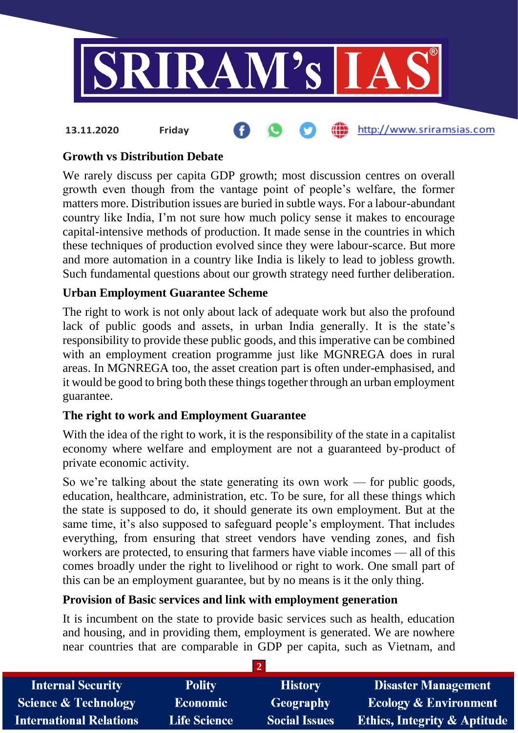

# **Growth vs Distribution Debate**

**13.11.2020 Friday**

We rarely discuss per capita GDP growth; most discussion centres on overall growth even though from the vantage point of people's welfare, the former matters more. Distribution issues are buried in subtle ways. For a labour-abundant country like India, I'm not sure how much policy sense it makes to encourage capital-intensive methods of production. It made sense in the countries in which these techniques of production evolved since they were labour-scarce. But more and more automation in a country like India is likely to lead to jobless growth. Such fundamental questions about our growth strategy need further deliberation.

### **Urban Employment Guarantee Scheme**

The right to work is not only about lack of adequate work but also the profound lack of public goods and assets, in urban India generally. It is the state's responsibility to provide these public goods, and this imperative can be combined with an employment creation programme just like MGNREGA does in rural areas. In MGNREGA too, the asset creation part is often under-emphasised, and it would be good to bring both these things together through an urban employment guarantee.

### **The right to work and Employment Guarantee**

With the idea of the right to work, it is the responsibility of the state in a capitalist economy where welfare and employment are not a guaranteed by-product of private economic activity.

So we're talking about the state generating its own work — for public goods, education, healthcare, administration, etc. To be sure, for all these things which the state is supposed to do, it should generate its own employment. But at the same time, it's also supposed to safeguard people's employment. That includes everything, from ensuring that street vendors have vending zones, and fish workers are protected, to ensuring that farmers have viable incomes — all of this comes broadly under the right to livelihood or right to work. One small part of this can be an employment guarantee, but by no means is it the only thing.

### **Provision of Basic services and link with employment generation**

It is incumbent on the state to provide basic services such as health, education and housing, and in providing them, employment is generated. We are nowhere near countries that are comparable in GDP per capita, such as Vietnam, and

| <b>Internal Security</b>        | <b>Polity</b>       | <b>History</b>       | <b>Disaster Management</b>              |  |  |
|---------------------------------|---------------------|----------------------|-----------------------------------------|--|--|
| <b>Science &amp; Technology</b> | <b>Economic</b>     | Geography            | <b>Ecology &amp; Environment</b>        |  |  |
| <b>International Relations</b>  | <b>Life Science</b> | <b>Social Issues</b> | <b>Ethics, Integrity &amp; Aptitude</b> |  |  |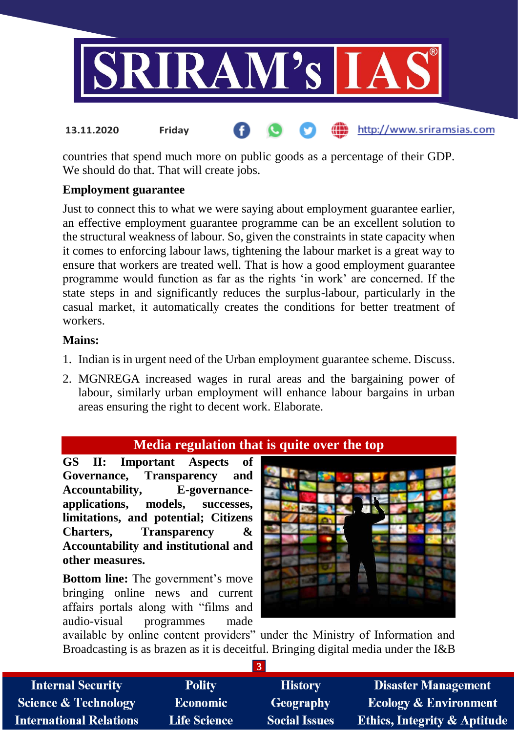

countries that spend much more on public goods as a percentage of their GDP. We should do that. That will create jobs.

### **Employment guarantee**

Just to connect this to what we were saying about employment guarantee earlier, an effective employment guarantee programme can be an excellent solution to the structural weakness of labour. So, given the constraints in state capacity when it comes to enforcing labour laws, tightening the labour market is a great way to ensure that workers are treated well. That is how a good employment guarantee programme would function as far as the rights 'in work' are concerned. If the state steps in and significantly reduces the surplus-labour, particularly in the casual market, it automatically creates the conditions for better treatment of workers.

#### **Mains:**

- 1. Indian is in urgent need of the Urban employment guarantee scheme. Discuss.
- 2. MGNREGA increased wages in rural areas and the bargaining power of labour, similarly urban employment will enhance labour bargains in urban areas ensuring the right to decent work. Elaborate.

# **Media regulation that is quite over the top**

**GS II: Important Aspects of Governance, Transparency and Accountability, E-governanceapplications, models, successes, limitations, and potential; Citizens Charters, Transparency & Accountability and institutional and other measures.**

**Bottom line:** The government's move bringing online news and current affairs portals along with "films and audio-visual programmes made



available by online content providers" under the Ministry of Information and Broadcasting is as brazen as it is deceitful. Bringing digital media under the I&B

**3**

| <b>Internal Security</b>        | <b>Polity</b>       | <b>History</b>       | <b>Disaster Management</b>              |  |  |  |
|---------------------------------|---------------------|----------------------|-----------------------------------------|--|--|--|
| <b>Science &amp; Technology</b> | <b>Economic</b>     | Geography            | <b>Ecology &amp; Environment</b>        |  |  |  |
| <b>International Relations</b>  | <b>Life Science</b> | <b>Social Issues</b> | <b>Ethics, Integrity &amp; Aptitude</b> |  |  |  |